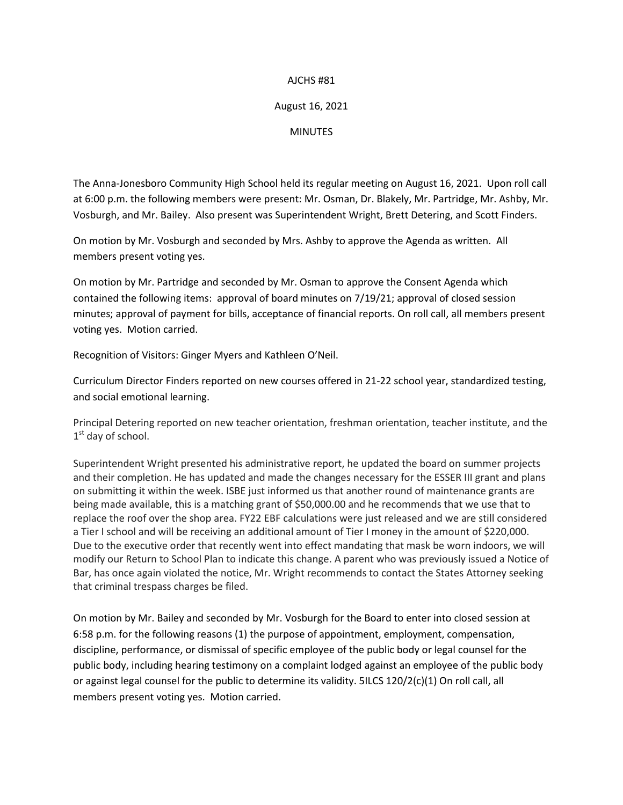## AJCHS #81

## August 16, 2021

**MINUTES** 

The Anna-Jonesboro Community High School held its regular meeting on August 16, 2021. Upon roll call at 6:00 p.m. the following members were present: Mr. Osman, Dr. Blakely, Mr. Partridge, Mr. Ashby, Mr. Vosburgh, and Mr. Bailey. Also present was Superintendent Wright, Brett Detering, and Scott Finders.

On motion by Mr. Vosburgh and seconded by Mrs. Ashby to approve the Agenda as written. All members present voting yes.

On motion by Mr. Partridge and seconded by Mr. Osman to approve the Consent Agenda which contained the following items: approval of board minutes on 7/19/21; approval of closed session minutes; approval of payment for bills, acceptance of financial reports. On roll call, all members present voting yes. Motion carried.

Recognition of Visitors: Ginger Myers and Kathleen O'Neil.

Curriculum Director Finders reported on new courses offered in 21-22 school year, standardized testing, and social emotional learning.

Principal Detering reported on new teacher orientation, freshman orientation, teacher institute, and the 1<sup>st</sup> day of school.

Superintendent Wright presented his administrative report, he updated the board on summer projects and their completion. He has updated and made the changes necessary for the ESSER III grant and plans on submitting it within the week. ISBE just informed us that another round of maintenance grants are being made available, this is a matching grant of \$50,000.00 and he recommends that we use that to replace the roof over the shop area. FY22 EBF calculations were just released and we are still considered a Tier I school and will be receiving an additional amount of Tier I money in the amount of \$220,000. Due to the executive order that recently went into effect mandating that mask be worn indoors, we will modify our Return to School Plan to indicate this change. A parent who was previously issued a Notice of Bar, has once again violated the notice, Mr. Wright recommends to contact the States Attorney seeking that criminal trespass charges be filed.

On motion by Mr. Bailey and seconded by Mr. Vosburgh for the Board to enter into closed session at 6:58 p.m. for the following reasons (1) the purpose of appointment, employment, compensation, discipline, performance, or dismissal of specific employee of the public body or legal counsel for the public body, including hearing testimony on a complaint lodged against an employee of the public body or against legal counsel for the public to determine its validity. 5ILCS 120/2(c)(1) On roll call, all members present voting yes. Motion carried.